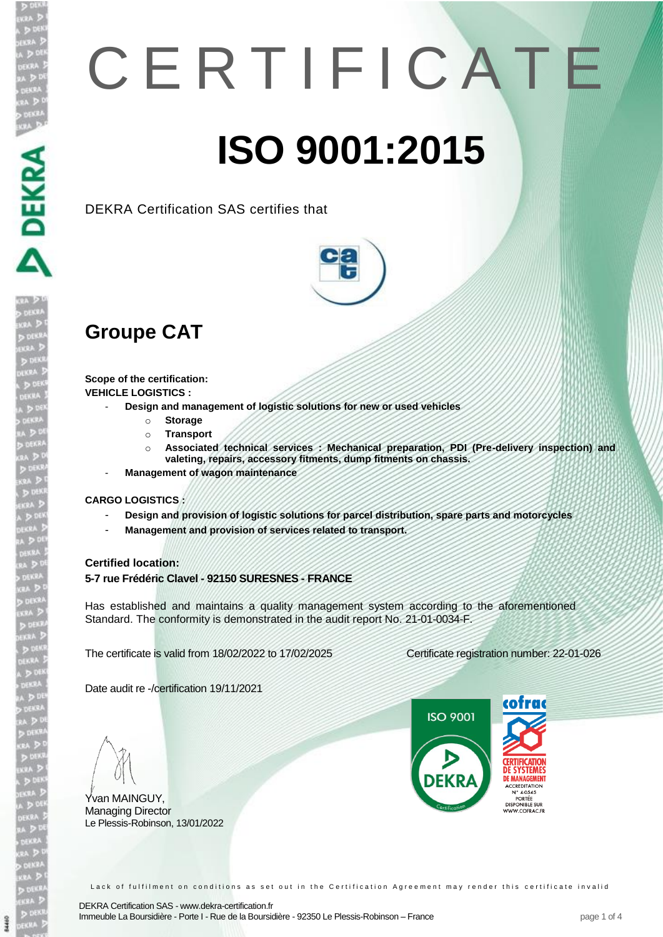# C E R T I F I C A T E **ISO 9001:2015**

DEKRA Certification SAS certifies that



## **Groupe CAT**

**Scope of the certification: VEHICLE LOGISTICS :** 

- **Design and management of logistic solutions for new or used vehicles**

- o **Storage**
- o **Transport**
- o **Associated technical services : Mechanical preparation, PDI (Pre-delivery inspection) and valeting, repairs, accessory fitments, dump fitments on chassis.**
- **Management of wagon maintenance**

#### **CARGO LOGISTICS :**

- **Design and provision of logistic solutions for parcel distribution, spare parts and motorcycles**
- **Management and provision of services related to transport.**

#### **Certified location:**

**5-7 rue Frédéric Clavel - 92150 SURESNES - FRANCE**

Has established and maintains a quality management system according to the aforementioned Standard. The conformity is demonstrated in the audit report No. 21-01-0034-F.

The certificate is valid from 18/02/2022 to 17/02/2025 Certificate registration number: 22-01-026

Date audit re -/certification 19/11/2021

Yvan MAINGUY, Managing Director Le Plessis-Robinson, 13/01/2022

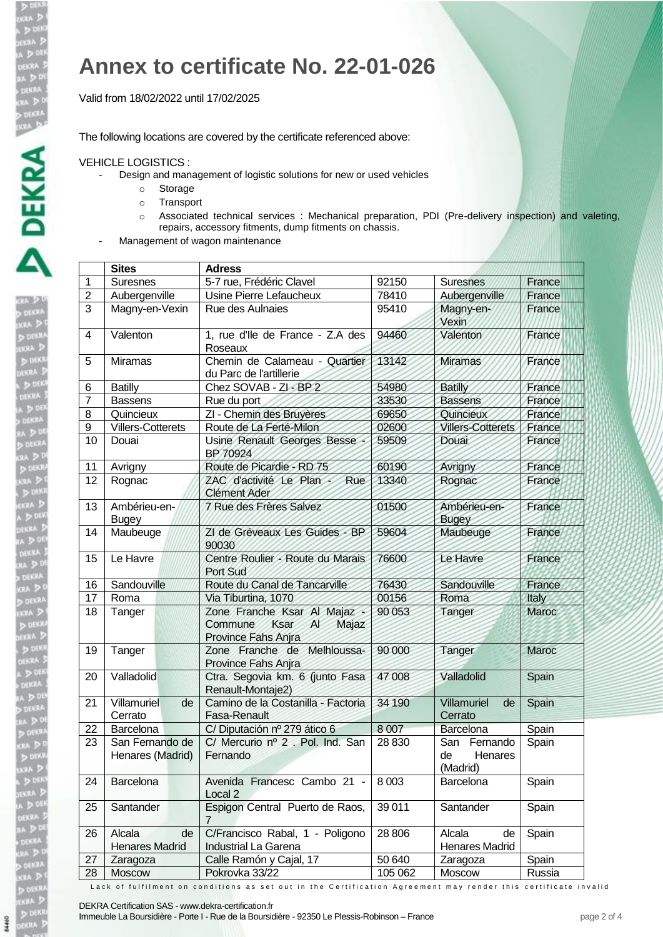**DO**<br>JEKRI<br>DEKRI<br>A D

### **Annex to certificate No. 22-01-026**

Valid from 18/02/2022 until 17/02/2025

The following locations are covered by the certificate referenced above:

#### VEHICLE LOGISTICS :

- Design and management of logistic solutions for new or used vehicles
	- o Storage
	- o Transport
	- o Associated technical services : Mechanical preparation, PDI (Pre-delivery inspection) and valeting, repairs, accessory fitments, dump fitments on chassis.
- Management of wagon maintenance

|                | <b>Sites</b>                          | <b>Adress</b>                                                                        |         |                                              |        |
|----------------|---------------------------------------|--------------------------------------------------------------------------------------|---------|----------------------------------------------|--------|
| 1              | <b>Suresnes</b>                       | 5-7 rue, Frédéric Clavel                                                             | 92150   | <b>Suresnes</b>                              | France |
| $\overline{2}$ | Aubergenville                         | Usine Pierre Lefaucheux                                                              | 78410   | Aubergenville                                | France |
| 3              | Magny-en-Vexin                        | Rue des Aulnaies                                                                     | 95410   | Magny-en-<br>Vexin                           | France |
| 4              | Valenton                              | 1, rue d'Ile de France - Z.A des<br>Roseaux                                          | 94460   | Valenton                                     | France |
| 5              | <b>Miramas</b>                        | Chemin de Calameau - Quartier<br>du Parc de l'artillerie                             | 13142   | <b>Miramas</b>                               | France |
| 6              | <b>Batilly</b>                        | Chez SOVAB - ZI - BP 2                                                               | 54980   | <b>Batilly</b>                               | France |
| 7              | <b>Bassens</b>                        | Rue du port                                                                          | 33530   | <b>Bassens</b>                               | France |
| 8              | Quincieux                             | ZI - Chemin des Bruyères                                                             | 69650   | Quincieux                                    | France |
| 9              | <b>Villers-Cotterets</b>              | Route de La Ferté-Milon                                                              | 02600   | <b>Villers-Cotterets</b>                     | France |
| 10             | Douai                                 | Usine Renault Georges Besse<br>BP 70924                                              | 59509   | <b>Douai</b>                                 | France |
| 11             | Avrigny                               | Route de Picardie - RD 75                                                            | 60190   | Avrigny                                      | France |
| 12             | Rognac                                | ZAC d'activité Le Plan -<br>Rue<br><b>Clément Ader</b>                               | 13340   | Rognac                                       | France |
| 13             | Ambérieu-en-<br><b>Bugey</b>          | 7 Rue des Frères Salvez                                                              | 01500   | Ambérieu-en-<br><b>Bugey</b>                 | France |
| 14             | Maubeuge                              | ZI de Gréveaux Les Guides - BP<br>90030                                              | 59604   | Maubeuge                                     | France |
| 15             | Le Havre                              | Centre Roulier - Route du Marais<br>Port Sud                                         | 76600   | Le Havre                                     | France |
| 16             | Sandouville                           | Route du Canal de Tancarville                                                        | 76430   | Sandouville                                  | France |
| 17             | Roma                                  | Via Tiburtina, 1070                                                                  | 00156   | Roma                                         | Italy  |
| 18             | Tanger                                | Zone Franche Ksar Al Majaz<br>Commune<br>Ksar<br>Majaz<br>AI.<br>Province Fahs Anjra | 90 053  | Tanger                                       | Maroc  |
| 19             | Tanger                                | Zone Franche de<br>Melhloussa-<br>Province Fahs Anjra                                | 90 000  | Tanger                                       | Maroc  |
| 20             | Valladolid                            | Ctra. Segovia km. 6 (junto Fasa<br>Renault-Montaje2)                                 | 47 008  | Valladolid                                   | Spain  |
| 21             | Villamuriel<br>de<br>Cerrato          | Camino de la Costanilla - Factoria<br><b>Fasa-Renault</b>                            | 34 190  | Villamuriel<br>de<br>Cerrato                 | Spain  |
| 22             | Barcelona                             | C/Diputación nº 279 ático 6                                                          | 8 0 0 7 | Barcelona                                    | Spain  |
| 23             | San Fernando de<br>Henares (Madrid)   | C/ Mercurio nº 2. Pol. Ind. San<br>Fernando                                          | 28 830  | San<br>Fernando<br>de<br>Henares<br>(Madrid) | Spain  |
| 24             | Barcelona                             | Avenida Francesc Cambo 21 -<br>Local <sub>2</sub>                                    | 8 0 0 3 | Barcelona                                    | Spain  |
| 25             | Santander                             | Espigon Central Puerto de Raos,<br>7                                                 | 39 011  | Santander                                    | Spain  |
| 26             | Alcala<br>de<br><b>Henares Madrid</b> | C/Francisco Rabal, 1 - Poligono<br>Industrial La Garena                              | 28 806  | Alcala<br>de<br><b>Henares Madrid</b>        | Spain  |
| 27             | Zaragoza                              | Calle Ramón y Cajal, 17                                                              | 50 640  | Zaragoza                                     | Spain  |
| 28             | Moscow                                | Pokrovka 33/22                                                                       | 105 062 | Moscow                                       | Russia |

Lack of fulfilment on conditions as set out in the Certification Agreement may render this certificate invalid

DEKRA Certification SAS - [www.dekra-certification.fr](http://www.dekra-certification.fr/)

Immeuble La Boursidière - Porte I - Rue de la Boursidière - 92350 Le Plessis-Robinson – France entre page 2 of 4

64460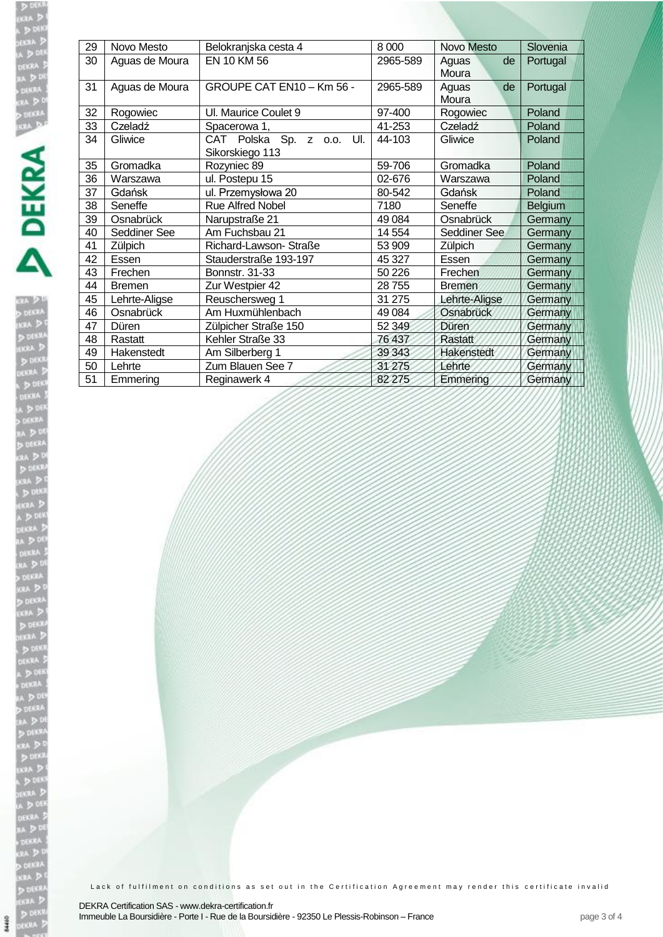DIREA<br>NKRA<br>NKRA<br>ADIREA<br>ADIREA

| 29 | Novo Mesto     | Belokranjska cesta 4                            | 8 0 0 0  | <b>Novo Mesto</b>    | Slovenia       |
|----|----------------|-------------------------------------------------|----------|----------------------|----------------|
| 30 | Aguas de Moura | EN 10 KM 56                                     | 2965-589 | de<br>Aguas<br>Moura | Portugal       |
| 31 | Aguas de Moura | GROUPE CAT EN10 - Km 56 -                       | 2965-589 | de<br>Aguas<br>Moura | Portugal       |
| 32 | Rogowiec       | UI. Maurice Coulet 9                            | 97-400   | Rogowiec             | Poland         |
| 33 | Czeladź        | Spacerowa 1,                                    | 41-253   | Czeladź              | Poland         |
| 34 | Gliwice        | CAT Polska Sp. z o.o.<br>UI.<br>Sikorskiego 113 | 44-103   | Gliwice              | Poland         |
| 35 | Gromadka       | Rozyniec 89                                     | 59-706   | Gromadka             | Poland         |
| 36 | Warszawa       | ul. Postepu 15                                  | 02-676   | Warszawa             | Poland         |
| 37 | Gdańsk         | ul. Przemysłowa 20                              | 80-542   | Gdańsk               | Poland         |
| 38 | Seneffe        | <b>Rue Alfred Nobel</b>                         | 7180     | Seneffe              | <b>Belgium</b> |
| 39 | Osnabrück      | Narupstraße 21                                  | 49 0 84  | Osnabrück            | Germany        |
| 40 | Seddiner See   | Am Fuchsbau 21                                  | 14 554   | Seddiner See         | Germany        |
| 41 | Zülpich        | Richard-Lawson- Straße                          | 53 909   | Zülpich              | Germany        |
| 42 | Essen          | Stauderstraße 193-197                           | 45 327   | Essen                | Germany        |
| 43 | Frechen        | <b>Bonnstr. 31-33</b>                           | 50 226   | Frechen              | Germany        |
| 44 | <b>Bremen</b>  | Zur Westpier 42                                 | 28755    | <b>Bremen</b>        | Germany        |
| 45 | Lehrte-Aligse  | Reuschersweg 1                                  | 31 275   | Lehrte-Aligse        | Germany        |
| 46 | Osnabrück      | Am Huxmühlenbach                                | 49 0 84  | Osnabrück            | Germany        |
| 47 | Düren          | Zülpicher Straße 150                            | 52 349   | Düren                | Germany        |
| 48 | Rastatt        | Kehler Straße 33                                | 76 437   | Rastatt              | Germany        |
| 49 | Hakenstedt     | Am Silberberg 1                                 | 39 34 3  | Hakenstedt           | Germany        |
| 50 | Lehrte         | Zum Blauen See 7                                | 31 275   | Lehrte               | Germany        |
| 51 | Emmering       | Reginawerk 4                                    | 82 275   | Emmering             | Germany        |

Lack of fulfilment on conditions as set out in the Certification Agreement may render this certificate invalid